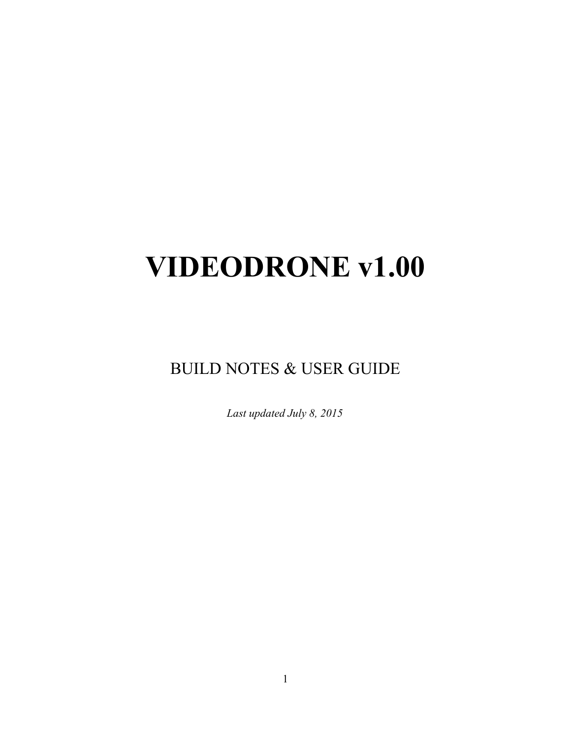# **VIDEODRONE v1.00**

BUILD NOTES & USER GUIDE

*Last updated July 8, 2015*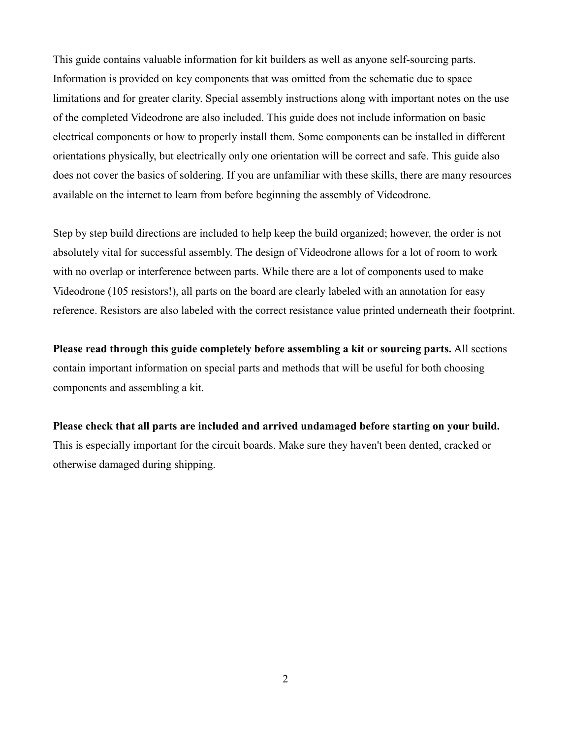This guide contains valuable information for kit builders as well as anyone self-sourcing parts. Information is provided on key components that was omitted from the schematic due to space limitations and for greater clarity. Special assembly instructions along with important notes on the use of the completed Videodrone are also included. This guide does not include information on basic electrical components or how to properly install them. Some components can be installed in different orientations physically, but electrically only one orientation will be correct and safe. This guide also does not cover the basics of soldering. If you are unfamiliar with these skills, there are many resources available on the internet to learn from before beginning the assembly of Videodrone.

Step by step build directions are included to help keep the build organized; however, the order is not absolutely vital for successful assembly. The design of Videodrone allows for a lot of room to work with no overlap or interference between parts. While there are a lot of components used to make Videodrone (105 resistors!), all parts on the board are clearly labeled with an annotation for easy reference. Resistors are also labeled with the correct resistance value printed underneath their footprint.

**Please read through this guide completely before assembling a kit or sourcing parts.** All sections contain important information on special parts and methods that will be useful for both choosing components and assembling a kit.

**Please check that all parts are included and arrived undamaged before starting on your build.** This is especially important for the circuit boards. Make sure they haven't been dented, cracked or otherwise damaged during shipping.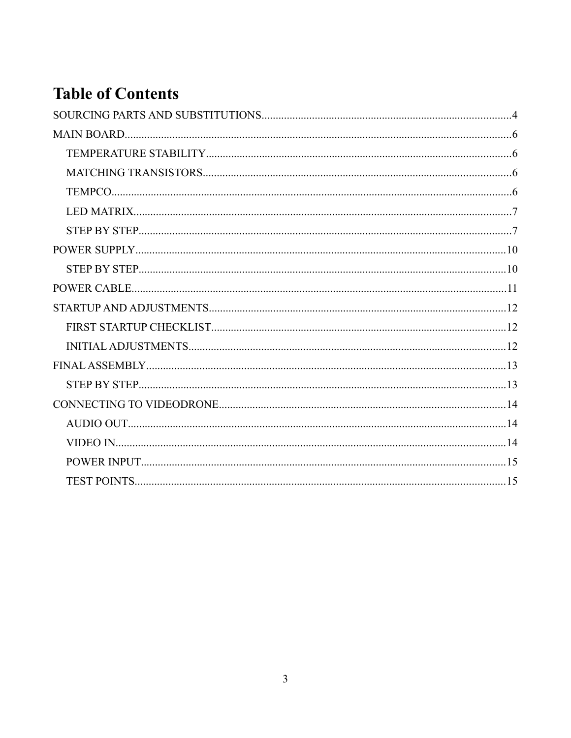# **Table of Contents**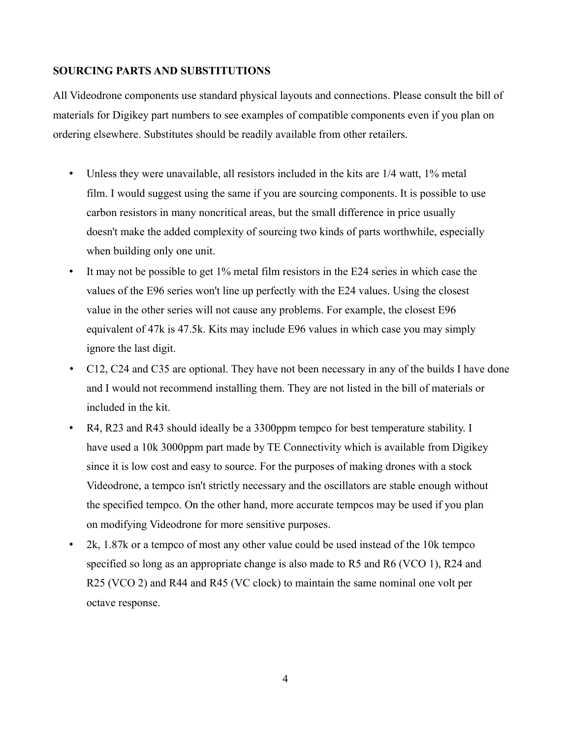# **SOURCING PARTS AND SUBSTITUTIONS**

All Videodrone components use standard physical layouts and connections. Please consult the bill of materials for Digikey part numbers to see examples of compatible components even if you plan on ordering elsewhere. Substitutes should be readily available from other retailers.

- Unless they were unavailable, all resistors included in the kits are 1/4 watt, 1% metal film. I would suggest using the same if you are sourcing components. It is possible to use carbon resistors in many noncritical areas, but the small difference in price usually doesn't make the added complexity of sourcing two kinds of parts worthwhile, especially when building only one unit.
- It may not be possible to get 1% metal film resistors in the E24 series in which case the values of the E96 series won't line up perfectly with the E24 values. Using the closest value in the other series will not cause any problems. For example, the closest E96 equivalent of 47k is 47.5k. Kits may include E96 values in which case you may simply ignore the last digit.
- C12, C24 and C35 are optional. They have not been necessary in any of the builds I have done and I would not recommend installing them. They are not listed in the bill of materials or included in the kit.
- R4, R23 and R43 should ideally be a 3300ppm tempco for best temperature stability. I have used a 10k 3000ppm part made by TE Connectivity which is available from Digikey since it is low cost and easy to source. For the purposes of making drones with a stock Videodrone, a tempco isn't strictly necessary and the oscillators are stable enough without the specified tempco. On the other hand, more accurate tempcos may be used if you plan on modifying Videodrone for more sensitive purposes.
- 2k, 1.87k or a tempco of most any other value could be used instead of the 10k tempco specified so long as an appropriate change is also made to R5 and R6 (VCO 1), R24 and R25 (VCO 2) and R44 and R45 (VC clock) to maintain the same nominal one volt per octave response.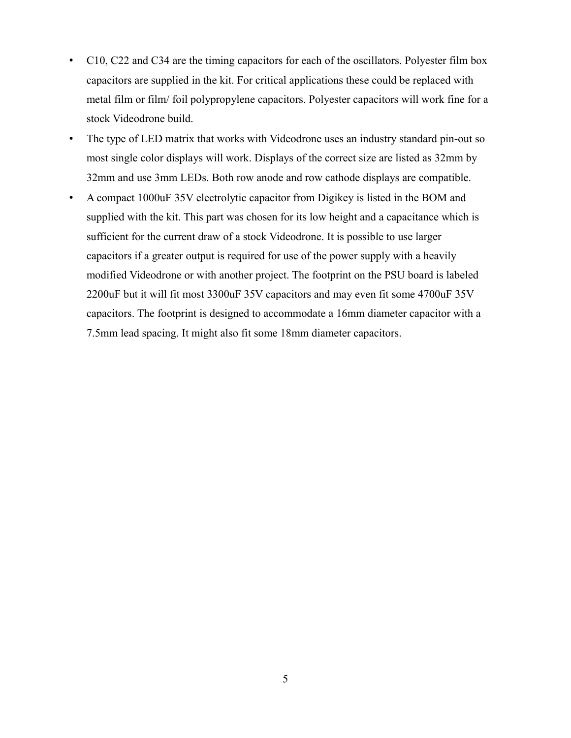- C10, C22 and C34 are the timing capacitors for each of the oscillators. Polyester film box capacitors are supplied in the kit. For critical applications these could be replaced with metal film or film/ foil polypropylene capacitors. Polyester capacitors will work fine for a stock Videodrone build.
- The type of LED matrix that works with Videodrone uses an industry standard pin-out so most single color displays will work. Displays of the correct size are listed as 32mm by 32mm and use 3mm LEDs. Both row anode and row cathode displays are compatible.
- A compact 1000uF 35V electrolytic capacitor from Digikey is listed in the BOM and supplied with the kit. This part was chosen for its low height and a capacitance which is sufficient for the current draw of a stock Videodrone. It is possible to use larger capacitors if a greater output is required for use of the power supply with a heavily modified Videodrone or with another project. The footprint on the PSU board is labeled 2200uF but it will fit most 3300uF 35V capacitors and may even fit some 4700uF 35V capacitors. The footprint is designed to accommodate a 16mm diameter capacitor with a 7.5mm lead spacing. It might also fit some 18mm diameter capacitors.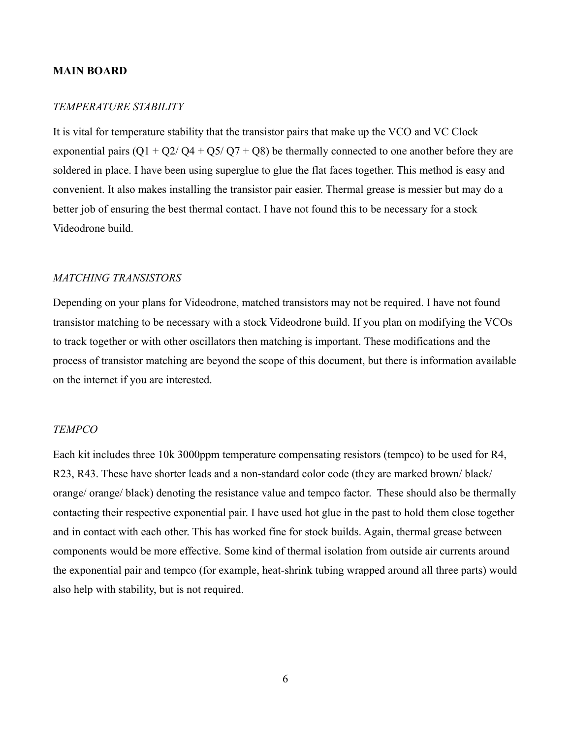# **MAIN BOARD**

# *TEMPERATURE STABILITY*

It is vital for temperature stability that the transistor pairs that make up the VCO and VC Clock exponential pairs  $(Q1 + Q2/Q4 + Q5/Q7 + Q8)$  be thermally connected to one another before they are soldered in place. I have been using superglue to glue the flat faces together. This method is easy and convenient. It also makes installing the transistor pair easier. Thermal grease is messier but may do a better job of ensuring the best thermal contact. I have not found this to be necessary for a stock Videodrone build.

#### *MATCHING TRANSISTORS*

Depending on your plans for Videodrone, matched transistors may not be required. I have not found transistor matching to be necessary with a stock Videodrone build. If you plan on modifying the VCOs to track together or with other oscillators then matching is important. These modifications and the process of transistor matching are beyond the scope of this document, but there is information available on the internet if you are interested.

# *TEMPCO*

Each kit includes three 10k 3000ppm temperature compensating resistors (tempco) to be used for R4, R23, R43. These have shorter leads and a non-standard color code (they are marked brown/ black/ orange/ orange/ black) denoting the resistance value and tempco factor. These should also be thermally contacting their respective exponential pair. I have used hot glue in the past to hold them close together and in contact with each other. This has worked fine for stock builds. Again, thermal grease between components would be more effective. Some kind of thermal isolation from outside air currents around the exponential pair and tempco (for example, heat-shrink tubing wrapped around all three parts) would also help with stability, but is not required.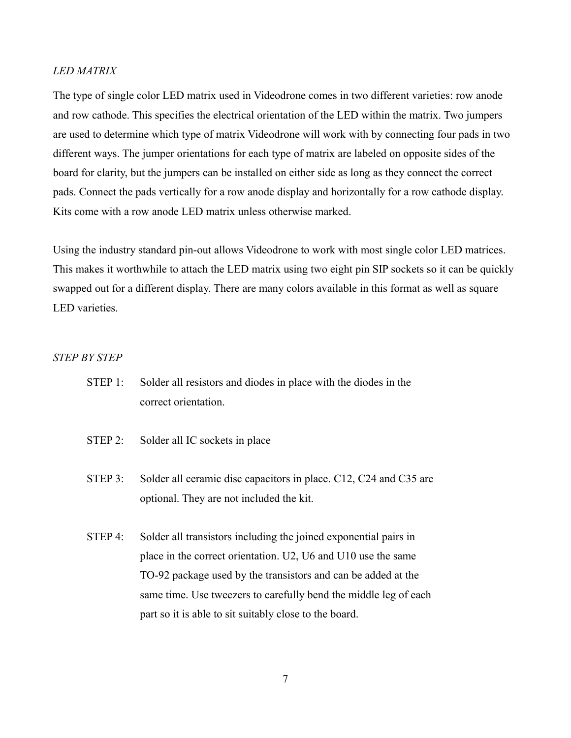# *LED MATRIX*

The type of single color LED matrix used in Videodrone comes in two different varieties: row anode and row cathode. This specifies the electrical orientation of the LED within the matrix. Two jumpers are used to determine which type of matrix Videodrone will work with by connecting four pads in two different ways. The jumper orientations for each type of matrix are labeled on opposite sides of the board for clarity, but the jumpers can be installed on either side as long as they connect the correct pads. Connect the pads vertically for a row anode display and horizontally for a row cathode display. Kits come with a row anode LED matrix unless otherwise marked.

Using the industry standard pin-out allows Videodrone to work with most single color LED matrices. This makes it worthwhile to attach the LED matrix using two eight pin SIP sockets so it can be quickly swapped out for a different display. There are many colors available in this format as well as square LED varieties.

# *STEP BY STEP*

- STEP 1: Solder all resistors and diodes in place with the diodes in the correct orientation.
- STEP 2: Solder all IC sockets in place
- STEP 3: Solder all ceramic disc capacitors in place. C12, C24 and C35 are optional. They are not included the kit.
- STEP 4: Solder all transistors including the joined exponential pairs in place in the correct orientation. U2, U6 and U10 use the same TO-92 package used by the transistors and can be added at the same time. Use tweezers to carefully bend the middle leg of each part so it is able to sit suitably close to the board.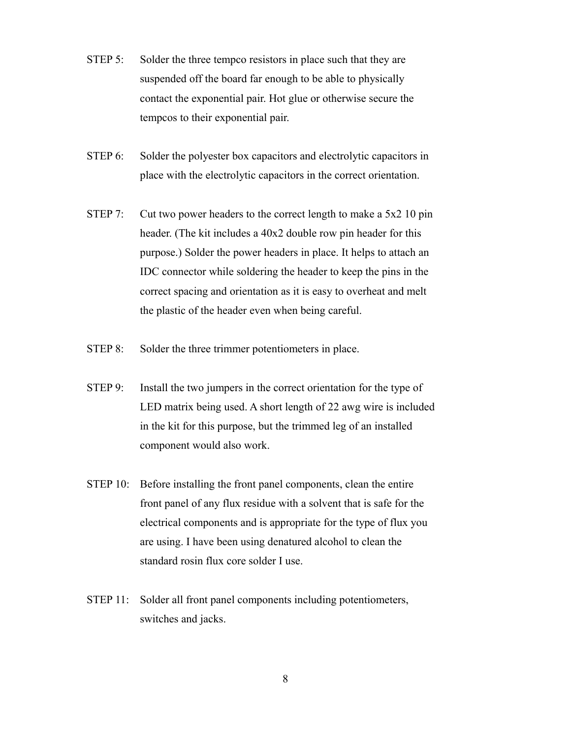- STEP 5: Solder the three tempco resistors in place such that they are suspended off the board far enough to be able to physically contact the exponential pair. Hot glue or otherwise secure the tempcos to their exponential pair.
- STEP 6: Solder the polyester box capacitors and electrolytic capacitors in place with the electrolytic capacitors in the correct orientation.
- STEP 7: Cut two power headers to the correct length to make a 5x2 10 pin header. (The kit includes a 40x2 double row pin header for this purpose.) Solder the power headers in place. It helps to attach an IDC connector while soldering the header to keep the pins in the correct spacing and orientation as it is easy to overheat and melt the plastic of the header even when being careful.
- STEP 8: Solder the three trimmer potentiometers in place.
- STEP 9: Install the two jumpers in the correct orientation for the type of LED matrix being used. A short length of 22 awg wire is included in the kit for this purpose, but the trimmed leg of an installed component would also work.
- STEP 10: Before installing the front panel components, clean the entire front panel of any flux residue with a solvent that is safe for the electrical components and is appropriate for the type of flux you are using. I have been using denatured alcohol to clean the standard rosin flux core solder I use.
- STEP 11: Solder all front panel components including potentiometers, switches and jacks.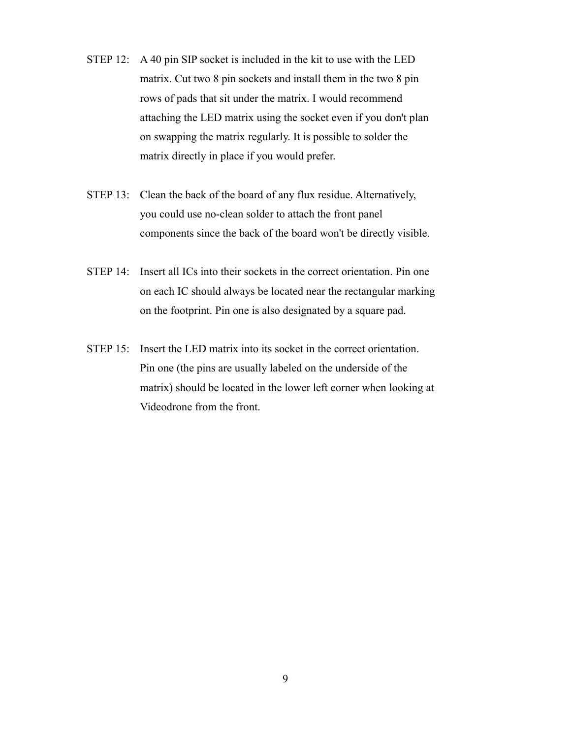- STEP 12: A 40 pin SIP socket is included in the kit to use with the LED matrix. Cut two 8 pin sockets and install them in the two 8 pin rows of pads that sit under the matrix. I would recommend attaching the LED matrix using the socket even if you don't plan on swapping the matrix regularly. It is possible to solder the matrix directly in place if you would prefer.
- STEP 13: Clean the back of the board of any flux residue. Alternatively, you could use no-clean solder to attach the front panel components since the back of the board won't be directly visible.
- STEP 14: Insert all ICs into their sockets in the correct orientation. Pin one on each IC should always be located near the rectangular marking on the footprint. Pin one is also designated by a square pad.
- STEP 15: Insert the LED matrix into its socket in the correct orientation. Pin one (the pins are usually labeled on the underside of the matrix) should be located in the lower left corner when looking at Videodrone from the front.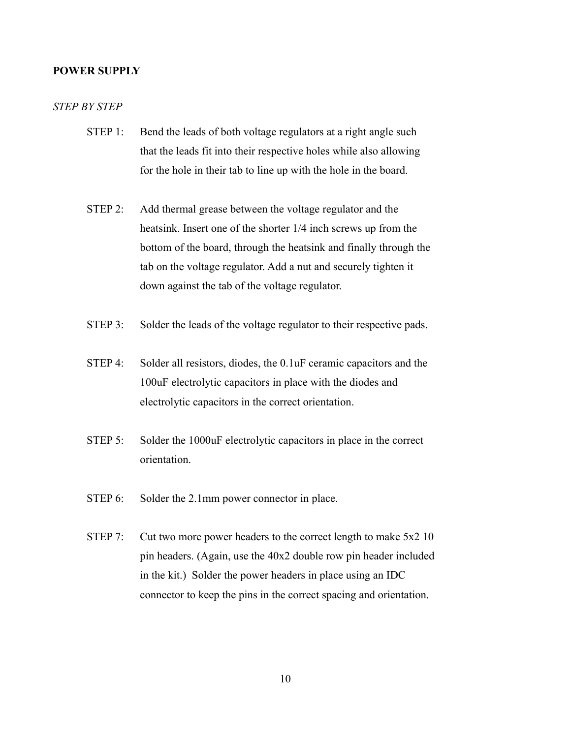#### **POWER SUPPLY**

# *STEP BY STEP*

- STEP 1: Bend the leads of both voltage regulators at a right angle such that the leads fit into their respective holes while also allowing for the hole in their tab to line up with the hole in the board.
- STEP 2: Add thermal grease between the voltage regulator and the heatsink. Insert one of the shorter 1/4 inch screws up from the bottom of the board, through the heatsink and finally through the tab on the voltage regulator. Add a nut and securely tighten it down against the tab of the voltage regulator.
- STEP 3: Solder the leads of the voltage regulator to their respective pads.
- STEP 4: Solder all resistors, diodes, the 0.1uF ceramic capacitors and the 100uF electrolytic capacitors in place with the diodes and electrolytic capacitors in the correct orientation.
- STEP 5: Solder the 1000uF electrolytic capacitors in place in the correct orientation.
- STEP 6: Solder the 2.1mm power connector in place.
- STEP 7: Cut two more power headers to the correct length to make 5x2 10 pin headers. (Again, use the 40x2 double row pin header included in the kit.) Solder the power headers in place using an IDC connector to keep the pins in the correct spacing and orientation.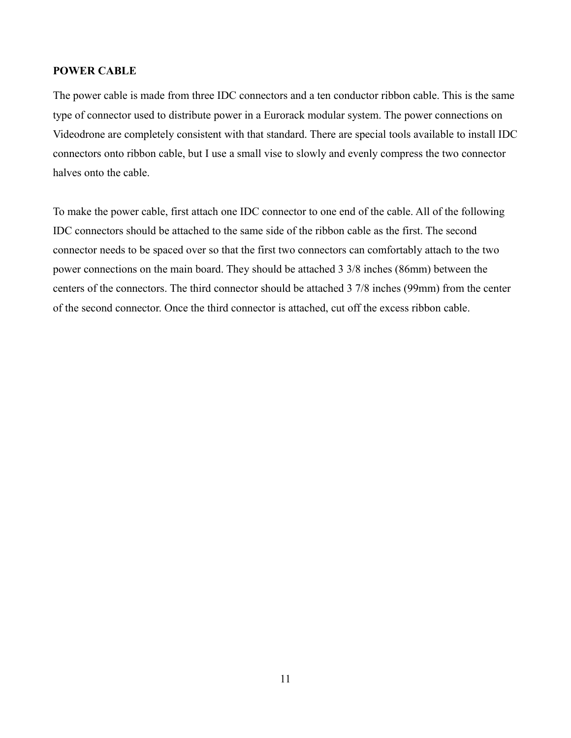# **POWER CABLE**

The power cable is made from three IDC connectors and a ten conductor ribbon cable. This is the same type of connector used to distribute power in a Eurorack modular system. The power connections on Videodrone are completely consistent with that standard. There are special tools available to install IDC connectors onto ribbon cable, but I use a small vise to slowly and evenly compress the two connector halves onto the cable.

To make the power cable, first attach one IDC connector to one end of the cable. All of the following IDC connectors should be attached to the same side of the ribbon cable as the first. The second connector needs to be spaced over so that the first two connectors can comfortably attach to the two power connections on the main board. They should be attached 3 3/8 inches (86mm) between the centers of the connectors. The third connector should be attached 3 7/8 inches (99mm) from the center of the second connector. Once the third connector is attached, cut off the excess ribbon cable.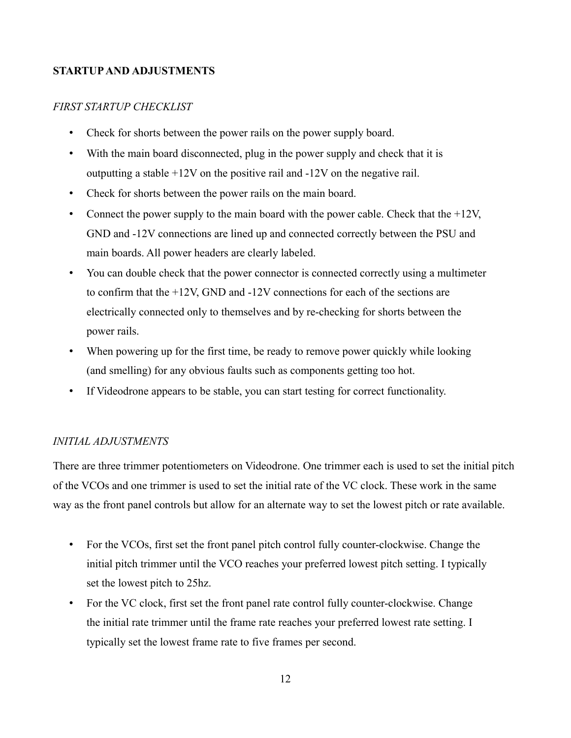# **STARTUP AND ADJUSTMENTS**

# *FIRST STARTUP CHECKLIST*

- Check for shorts between the power rails on the power supply board.
- With the main board disconnected, plug in the power supply and check that it is outputting a stable +12V on the positive rail and -12V on the negative rail.
- Check for shorts between the power rails on the main board.
- Connect the power supply to the main board with the power cable. Check that the  $+12V$ , GND and -12V connections are lined up and connected correctly between the PSU and main boards. All power headers are clearly labeled.
- You can double check that the power connector is connected correctly using a multimeter to confirm that the +12V, GND and -12V connections for each of the sections are electrically connected only to themselves and by re-checking for shorts between the power rails.
- When powering up for the first time, be ready to remove power quickly while looking (and smelling) for any obvious faults such as components getting too hot.
- If Videodrone appears to be stable, you can start testing for correct functionality.

# *INITIAL ADJUSTMENTS*

There are three trimmer potentiometers on Videodrone. One trimmer each is used to set the initial pitch of the VCOs and one trimmer is used to set the initial rate of the VC clock. These work in the same way as the front panel controls but allow for an alternate way to set the lowest pitch or rate available.

- For the VCOs, first set the front panel pitch control fully counter-clockwise. Change the initial pitch trimmer until the VCO reaches your preferred lowest pitch setting. I typically set the lowest pitch to 25hz.
- For the VC clock, first set the front panel rate control fully counter-clockwise. Change the initial rate trimmer until the frame rate reaches your preferred lowest rate setting. I typically set the lowest frame rate to five frames per second.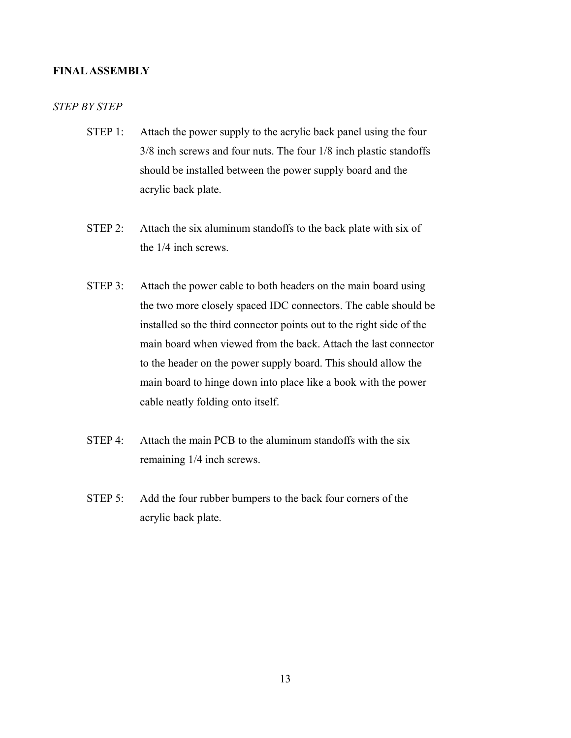# **FINAL ASSEMBLY**

# *STEP BY STEP*

- STEP 1: Attach the power supply to the acrylic back panel using the four 3/8 inch screws and four nuts. The four 1/8 inch plastic standoffs should be installed between the power supply board and the acrylic back plate.
- STEP 2: Attach the six aluminum standoffs to the back plate with six of the 1/4 inch screws.
- STEP 3: Attach the power cable to both headers on the main board using the two more closely spaced IDC connectors. The cable should be installed so the third connector points out to the right side of the main board when viewed from the back. Attach the last connector to the header on the power supply board. This should allow the main board to hinge down into place like a book with the power cable neatly folding onto itself.
- STEP 4: Attach the main PCB to the aluminum standoffs with the six remaining 1/4 inch screws.
- STEP 5: Add the four rubber bumpers to the back four corners of the acrylic back plate.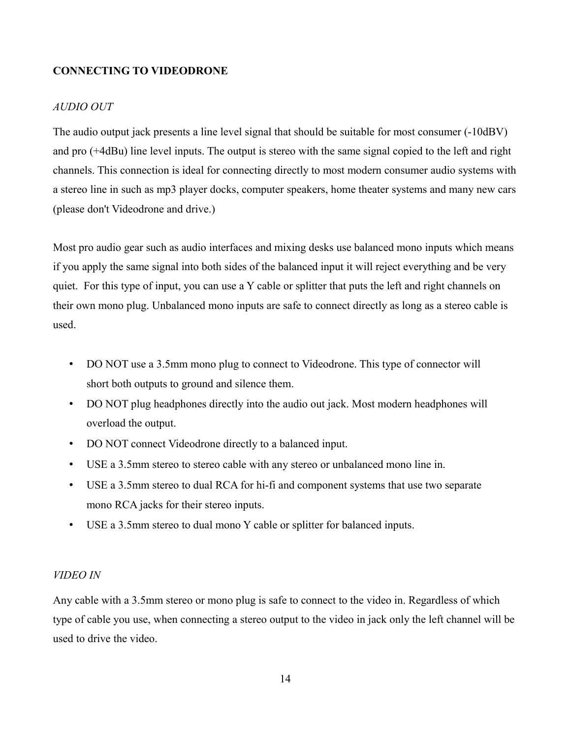# **CONNECTING TO VIDEODRONE**

# *AUDIO OUT*

The audio output jack presents a line level signal that should be suitable for most consumer (-10dBV) and pro (+4dBu) line level inputs. The output is stereo with the same signal copied to the left and right channels. This connection is ideal for connecting directly to most modern consumer audio systems with a stereo line in such as mp3 player docks, computer speakers, home theater systems and many new cars (please don't Videodrone and drive.)

Most pro audio gear such as audio interfaces and mixing desks use balanced mono inputs which means if you apply the same signal into both sides of the balanced input it will reject everything and be very quiet. For this type of input, you can use a Y cable or splitter that puts the left and right channels on their own mono plug. Unbalanced mono inputs are safe to connect directly as long as a stereo cable is used.

- DO NOT use a 3.5mm mono plug to connect to Videodrone. This type of connector will short both outputs to ground and silence them.
- DO NOT plug headphones directly into the audio out jack. Most modern headphones will overload the output.
- DO NOT connect Videodrone directly to a balanced input.
- USE a 3.5mm stereo to stereo cable with any stereo or unbalanced mono line in.
- USE a 3.5mm stereo to dual RCA for hi-fi and component systems that use two separate mono RCA jacks for their stereo inputs.
- USE a 3.5mm stereo to dual mono Y cable or splitter for balanced inputs.

# *VIDEO IN*

Any cable with a 3.5mm stereo or mono plug is safe to connect to the video in. Regardless of which type of cable you use, when connecting a stereo output to the video in jack only the left channel will be used to drive the video.